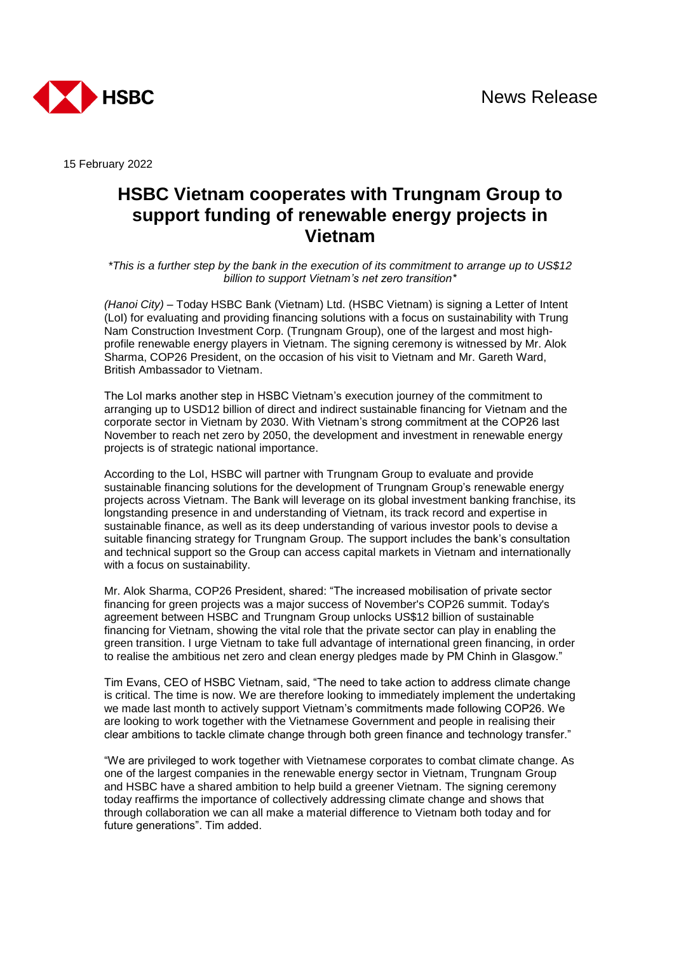

15 February 2022

## **HSBC Vietnam cooperates with Trungnam Group to support funding of renewable energy projects in Vietnam**

*\*This is a further step by the bank in the execution of its commitment to arrange up to US\$12 billion to support Vietnam's net zero transition\**

*(Hanoi City)* – Today HSBC Bank (Vietnam) Ltd. (HSBC Vietnam) is signing a Letter of Intent (LoI) for evaluating and providing financing solutions with a focus on sustainability with Trung Nam Construction Investment Corp. (Trungnam Group), one of the largest and most highprofile renewable energy players in Vietnam. The signing ceremony is witnessed by Mr. Alok Sharma, COP26 President, on the occasion of his visit to Vietnam and Mr. Gareth Ward, British Ambassador to Vietnam.

The LoI marks another step in HSBC Vietnam's execution journey of the commitment to arranging up to USD12 billion of direct and indirect sustainable financing for Vietnam and the corporate sector in Vietnam by 2030. With Vietnam's strong commitment at the COP26 last November to reach net zero by 2050, the development and investment in renewable energy projects is of strategic national importance.

According to the LoI, HSBC will partner with Trungnam Group to evaluate and provide sustainable financing solutions for the development of Trungnam Group's renewable energy projects across Vietnam. The Bank will leverage on its global investment banking franchise, its longstanding presence in and understanding of Vietnam, its track record and expertise in sustainable finance, as well as its deep understanding of various investor pools to devise a suitable financing strategy for Trungnam Group. The support includes the bank's consultation and technical support so the Group can access capital markets in Vietnam and internationally with a focus on sustainability.

Mr. Alok Sharma, COP26 President, shared: "The increased mobilisation of private sector financing for green projects was a major success of November's COP26 summit. Today's agreement between HSBC and Trungnam Group unlocks US\$12 billion of sustainable financing for Vietnam, showing the vital role that the private sector can play in enabling the green transition. I urge Vietnam to take full advantage of international green financing, in order to realise the ambitious net zero and clean energy pledges made by PM Chinh in Glasgow."

Tim Evans, CEO of HSBC Vietnam, said, "The need to take action to address climate change is critical. The time is now. We are therefore looking to immediately implement the undertaking we made last month to actively support Vietnam's commitments made following COP26. We are looking to work together with the Vietnamese Government and people in realising their clear ambitions to tackle climate change through both green finance and technology transfer."

"We are privileged to work together with Vietnamese corporates to combat climate change. As one of the largest companies in the renewable energy sector in Vietnam, Trungnam Group and HSBC have a shared ambition to help build a greener Vietnam. The signing ceremony today reaffirms the importance of collectively addressing climate change and shows that through collaboration we can all make a material difference to Vietnam both today and for future generations". Tim added.